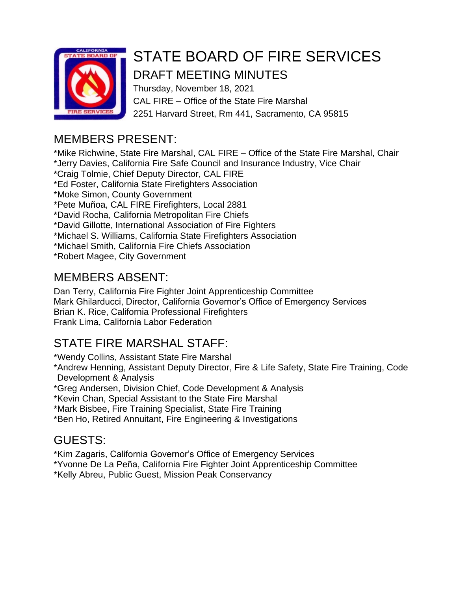

# STATE BOARD OF FIRE SERVICES

# DRAFT MEETING MINUTES

Thursday, November 18, 2021 CAL FIRE – Office of the State Fire Marshal 2251 Harvard Street, Rm 441, Sacramento, CA 95815

# MEMBERS PRESENT:

\*Mike Richwine, State Fire Marshal, CAL FIRE – Office of the State Fire Marshal, Chair \*Jerry Davies, California Fire Safe Council and Insurance Industry, Vice Chair \*Craig Tolmie, Chief Deputy Director, CAL FIRE \*Ed Foster, California State Firefighters Association \*Moke Simon, County Government \*Pete Muñoa, CAL FIRE Firefighters, Local 2881 \*David Rocha, California Metropolitan Fire Chiefs \*David Gillotte, International Association of Fire Fighters \*Michael S. Williams, California State Firefighters Association \*Michael Smith, California Fire Chiefs Association \*Robert Magee, City Government

# MEMBERS ABSENT:

Dan Terry, California Fire Fighter Joint Apprenticeship Committee Mark Ghilarducci, Director, California Governor's Office of Emergency Services Brian K. Rice, California Professional Firefighters Frank Lima, California Labor Federation

# STATE FIRE MARSHAL STAFF:

\*Wendy Collins, Assistant State Fire Marshal

\*Andrew Henning, Assistant Deputy Director, Fire & Life Safety, State Fire Training, Code Development & Analysis

\*Greg Andersen, Division Chief, Code Development & Analysis

\*Kevin Chan, Special Assistant to the State Fire Marshal

\*Mark Bisbee, Fire Training Specialist, State Fire Training

\*Ben Ho, Retired Annuitant, Fire Engineering & Investigations

# GUESTS:

\*Kim Zagaris, California Governor's Office of Emergency Services

\*Yvonne De La Peña, California Fire Fighter Joint Apprenticeship Committee

\*Kelly Abreu, Public Guest, Mission Peak Conservancy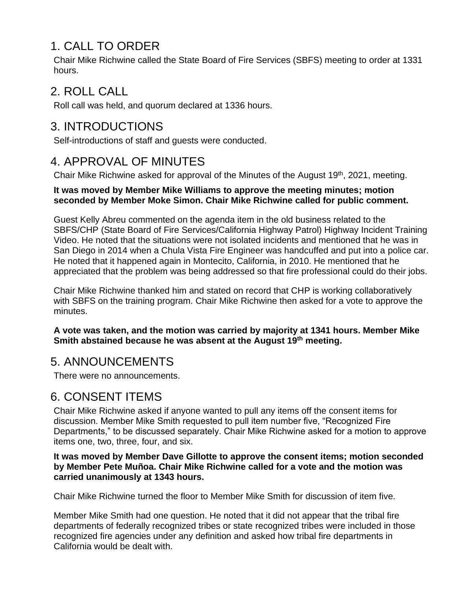# 1. CALL TO ORDER

Chair Mike Richwine called the State Board of Fire Services (SBFS) meeting to order at 1331 hours.

#### 2. ROLL CALL

Roll call was held, and quorum declared at 1336 hours.

### 3. INTRODUCTIONS

Self-introductions of staff and guests were conducted.

### 4. APPROVAL OF MINUTES

Chair Mike Richwine asked for approval of the Minutes of the August 19<sup>th</sup>, 2021, meeting.

#### **It was moved by Member Mike Williams to approve the meeting minutes; motion seconded by Member Moke Simon. Chair Mike Richwine called for public comment.**

Guest Kelly Abreu commented on the agenda item in the old business related to the SBFS/CHP (State Board of Fire Services/California Highway Patrol) Highway Incident Training Video. He noted that the situations were not isolated incidents and mentioned that he was in San Diego in 2014 when a Chula Vista Fire Engineer was handcuffed and put into a police car. He noted that it happened again in Montecito, California, in 2010. He mentioned that he appreciated that the problem was being addressed so that fire professional could do their jobs.

Chair Mike Richwine thanked him and stated on record that CHP is working collaboratively with SBFS on the training program. Chair Mike Richwine then asked for a vote to approve the minutes.

#### **A vote was taken, and the motion was carried by majority at 1341 hours. Member Mike Smith abstained because he was absent at the August 19th meeting.**

#### 5. ANNOUNCEMENTS

There were no announcements.

### 6. CONSENT ITEMS

Chair Mike Richwine asked if anyone wanted to pull any items off the consent items for discussion. Member Mike Smith requested to pull item number five, "Recognized Fire Departments," to be discussed separately. Chair Mike Richwine asked for a motion to approve items one, two, three, four, and six.

#### **It was moved by Member Dave Gillotte to approve the consent items; motion seconded by Member Pete Muñoa. Chair Mike Richwine called for a vote and the motion was carried unanimously at 1343 hours.**

Chair Mike Richwine turned the floor to Member Mike Smith for discussion of item five.

Member Mike Smith had one question. He noted that it did not appear that the tribal fire departments of federally recognized tribes or state recognized tribes were included in those recognized fire agencies under any definition and asked how tribal fire departments in California would be dealt with.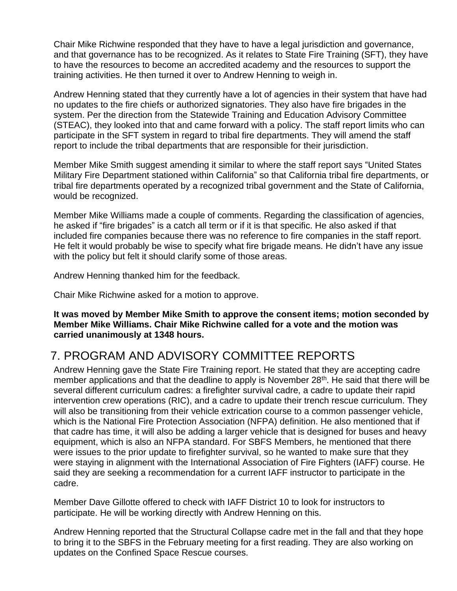Chair Mike Richwine responded that they have to have a legal jurisdiction and governance, and that governance has to be recognized. As it relates to State Fire Training (SFT), they have to have the resources to become an accredited academy and the resources to support the training activities. He then turned it over to Andrew Henning to weigh in.

Andrew Henning stated that they currently have a lot of agencies in their system that have had no updates to the fire chiefs or authorized signatories. They also have fire brigades in the system. Per the direction from the Statewide Training and Education Advisory Committee (STEAC), they looked into that and came forward with a policy. The staff report limits who can participate in the SFT system in regard to tribal fire departments. They will amend the staff report to include the tribal departments that are responsible for their jurisdiction.

Member Mike Smith suggest amending it similar to where the staff report says "United States Military Fire Department stationed within California" so that California tribal fire departments, or tribal fire departments operated by a recognized tribal government and the State of California, would be recognized.

Member Mike Williams made a couple of comments. Regarding the classification of agencies, he asked if "fire brigades" is a catch all term or if it is that specific. He also asked if that included fire companies because there was no reference to fire companies in the staff report. He felt it would probably be wise to specify what fire brigade means. He didn't have any issue with the policy but felt it should clarify some of those areas.

Andrew Henning thanked him for the feedback.

Chair Mike Richwine asked for a motion to approve.

**It was moved by Member Mike Smith to approve the consent items; motion seconded by Member Mike Williams. Chair Mike Richwine called for a vote and the motion was carried unanimously at 1348 hours.**

#### 7. PROGRAM AND ADVISORY COMMITTEE REPORTS

Andrew Henning gave the State Fire Training report. He stated that they are accepting cadre member applications and that the deadline to apply is November 28<sup>th</sup>. He said that there will be several different curriculum cadres: a firefighter survival cadre, a cadre to update their rapid intervention crew operations (RIC), and a cadre to update their trench rescue curriculum. They will also be transitioning from their vehicle extrication course to a common passenger vehicle, which is the National Fire Protection Association (NFPA) definition. He also mentioned that if that cadre has time, it will also be adding a larger vehicle that is designed for buses and heavy equipment, which is also an NFPA standard. For SBFS Members, he mentioned that there were issues to the prior update to firefighter survival, so he wanted to make sure that they were staying in alignment with the International Association of Fire Fighters (IAFF) course. He said they are seeking a recommendation for a current IAFF instructor to participate in the cadre.

Member Dave Gillotte offered to check with IAFF District 10 to look for instructors to participate. He will be working directly with Andrew Henning on this.

Andrew Henning reported that the Structural Collapse cadre met in the fall and that they hope to bring it to the SBFS in the February meeting for a first reading. They are also working on updates on the Confined Space Rescue courses.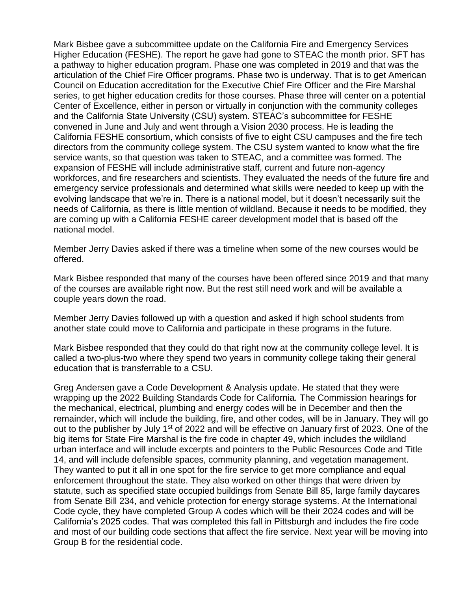Mark Bisbee gave a subcommittee update on the California Fire and Emergency Services Higher Education (FESHE). The report he gave had gone to STEAC the month prior. SFT has a pathway to higher education program. Phase one was completed in 2019 and that was the articulation of the Chief Fire Officer programs. Phase two is underway. That is to get American Council on Education accreditation for the Executive Chief Fire Officer and the Fire Marshal series, to get higher education credits for those courses. Phase three will center on a potential Center of Excellence, either in person or virtually in conjunction with the community colleges and the California State University (CSU) system. STEAC's subcommittee for FESHE convened in June and July and went through a Vision 2030 process. He is leading the California FESHE consortium, which consists of five to eight CSU campuses and the fire tech directors from the community college system. The CSU system wanted to know what the fire service wants, so that question was taken to STEAC, and a committee was formed. The expansion of FESHE will include administrative staff, current and future non-agency workforces, and fire researchers and scientists. They evaluated the needs of the future fire and emergency service professionals and determined what skills were needed to keep up with the evolving landscape that we're in. There is a national model, but it doesn't necessarily suit the needs of California, as there is little mention of wildland. Because it needs to be modified, they are coming up with a California FESHE career development model that is based off the national model.

Member Jerry Davies asked if there was a timeline when some of the new courses would be offered.

Mark Bisbee responded that many of the courses have been offered since 2019 and that many of the courses are available right now. But the rest still need work and will be available a couple years down the road.

Member Jerry Davies followed up with a question and asked if high school students from another state could move to California and participate in these programs in the future.

Mark Bisbee responded that they could do that right now at the community college level. It is called a two-plus-two where they spend two years in community college taking their general education that is transferrable to a CSU.

Greg Andersen gave a Code Development & Analysis update. He stated that they were wrapping up the 2022 Building Standards Code for California. The Commission hearings for the mechanical, electrical, plumbing and energy codes will be in December and then the remainder, which will include the building, fire, and other codes, will be in January. They will go out to the publisher by July 1<sup>st</sup> of 2022 and will be effective on January first of 2023. One of the big items for State Fire Marshal is the fire code in chapter 49, which includes the wildland urban interface and will include excerpts and pointers to the Public Resources Code and Title 14, and will include defensible spaces, community planning, and vegetation management. They wanted to put it all in one spot for the fire service to get more compliance and equal enforcement throughout the state. They also worked on other things that were driven by statute, such as specified state occupied buildings from Senate Bill 85, large family daycares from Senate Bill 234, and vehicle protection for energy storage systems. At the International Code cycle, they have completed Group A codes which will be their 2024 codes and will be California's 2025 codes. That was completed this fall in Pittsburgh and includes the fire code and most of our building code sections that affect the fire service. Next year will be moving into Group B for the residential code.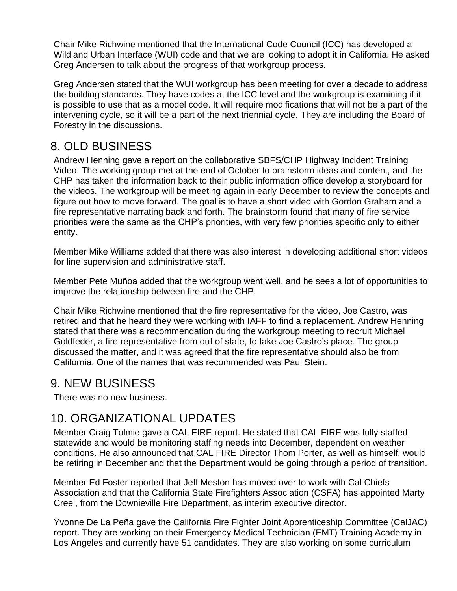Chair Mike Richwine mentioned that the International Code Council (ICC) has developed a Wildland Urban Interface (WUI) code and that we are looking to adopt it in California. He asked Greg Andersen to talk about the progress of that workgroup process.

Greg Andersen stated that the WUI workgroup has been meeting for over a decade to address the building standards. They have codes at the ICC level and the workgroup is examining if it is possible to use that as a model code. It will require modifications that will not be a part of the intervening cycle, so it will be a part of the next triennial cycle. They are including the Board of Forestry in the discussions.

#### 8. OLD BUSINESS

Andrew Henning gave a report on the collaborative SBFS/CHP Highway Incident Training Video. The working group met at the end of October to brainstorm ideas and content, and the CHP has taken the information back to their public information office develop a storyboard for the videos. The workgroup will be meeting again in early December to review the concepts and figure out how to move forward. The goal is to have a short video with Gordon Graham and a fire representative narrating back and forth. The brainstorm found that many of fire service priorities were the same as the CHP's priorities, with very few priorities specific only to either entity.

Member Mike Williams added that there was also interest in developing additional short videos for line supervision and administrative staff.

Member Pete Muñoa added that the workgroup went well, and he sees a lot of opportunities to improve the relationship between fire and the CHP.

Chair Mike Richwine mentioned that the fire representative for the video, Joe Castro, was retired and that he heard they were working with IAFF to find a replacement. Andrew Henning stated that there was a recommendation during the workgroup meeting to recruit Michael Goldfeder, a fire representative from out of state, to take Joe Castro's place. The group discussed the matter, and it was agreed that the fire representative should also be from California. One of the names that was recommended was Paul Stein.

#### 9. NEW BUSINESS

There was no new business.

#### 10. ORGANIZATIONAL UPDATES

Member Craig Tolmie gave a CAL FIRE report. He stated that CAL FIRE was fully staffed statewide and would be monitoring staffing needs into December, dependent on weather conditions. He also announced that CAL FIRE Director Thom Porter, as well as himself, would be retiring in December and that the Department would be going through a period of transition.

Member Ed Foster reported that Jeff Meston has moved over to work with Cal Chiefs Association and that the California State Firefighters Association (CSFA) has appointed Marty Creel, from the Downieville Fire Department, as interim executive director.

Yvonne De La Peña gave the California Fire Fighter Joint Apprenticeship Committee (CalJAC) report. They are working on their Emergency Medical Technician (EMT) Training Academy in Los Angeles and currently have 51 candidates. They are also working on some curriculum